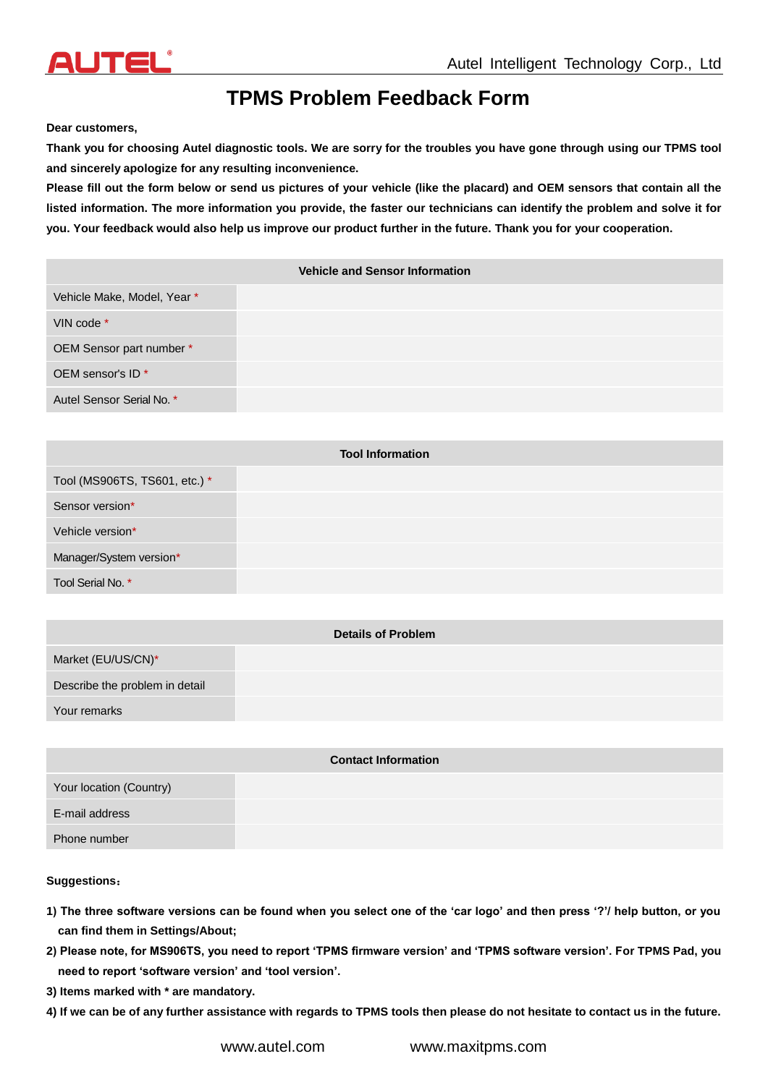# **TPMS Problem Feedback Form**

**Dear customers,**

**Thank you for choosing Autel diagnostic tools. We are sorry for the troubles you have gone through using our TPMS tool and sincerely apologize for any resulting inconvenience.**

**Please fill out the form below or send us pictures of your vehicle (like the placard) and OEM sensors that contain all the listed information. The more information you provide, the faster our technicians can identify the problem and solve it for you. Your feedback would also help us improve our product further in the future. Thank you for your cooperation.**

|                              | <b>Vehicle and Sensor Information</b> |
|------------------------------|---------------------------------------|
| Vehicle Make, Model, Year *  |                                       |
| VIN code *                   |                                       |
| OEM Sensor part number *     |                                       |
| OEM sensor's ID <sup>*</sup> |                                       |
| Autel Sensor Serial No. *    |                                       |

| <b>Tool Information</b>       |  |
|-------------------------------|--|
| Tool (MS906TS, TS601, etc.) * |  |
| Sensor version*               |  |
| Vehicle version*              |  |
| Manager/System version*       |  |
| Tool Serial No. *             |  |

| Describe the problem in detail | <b>Details of Problem</b> |  |
|--------------------------------|---------------------------|--|
|                                | Market (EU/US/CN)*        |  |
|                                |                           |  |
|                                | Your remarks              |  |

| <b>Contact Information</b> |  |
|----------------------------|--|
| Your location (Country)    |  |
| E-mail address             |  |
| Phone number               |  |

#### **Suggestions**:

- **1) The three software versions can be found when you select one of the 'car logo' and then press '?'/ help button, or you can find them in Settings/About;**
- **2) Please note, for MS906TS, you need to report 'TPMS firmware version' and 'TPMS software version'. For TPMS Pad, you need to report 'software version' and 'tool version'.**
- **3) Items marked with \* are mandatory.**
- **4) If we can be of any further assistance with regards to TPMS tools then please do not hesitate to contact us in the future.**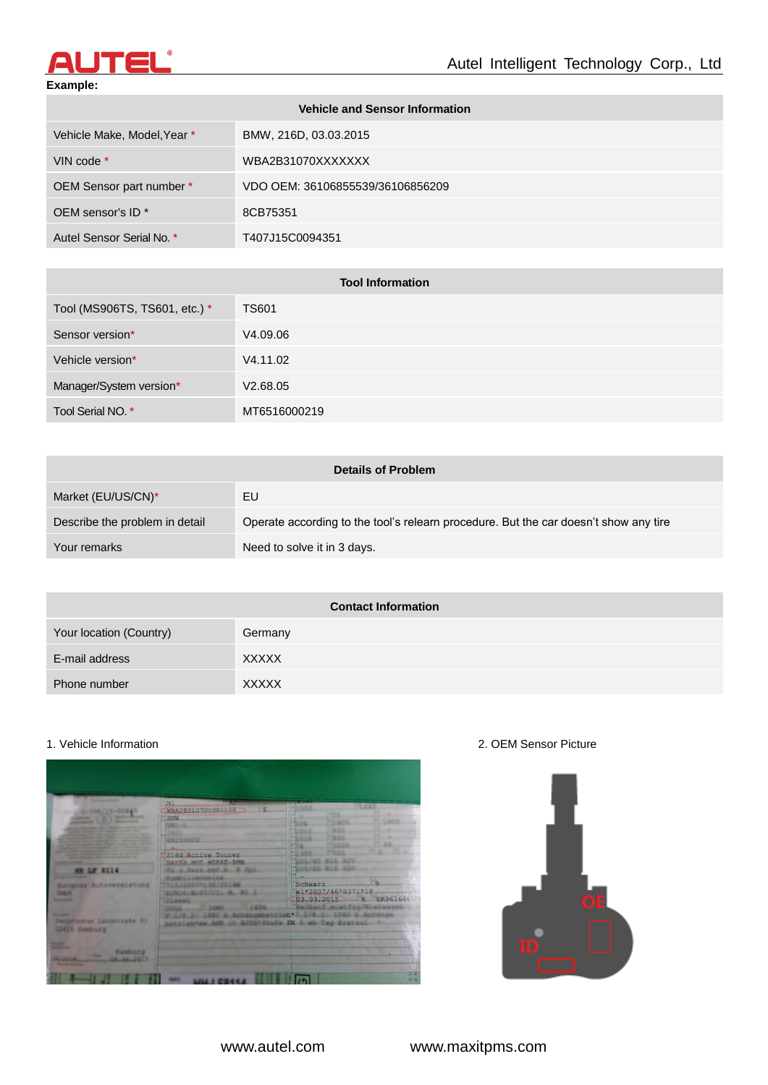

## **Example:**

| <b>Vehicle and Sensor Information</b> |                                  |
|---------------------------------------|----------------------------------|
| Vehicle Make, Model, Year *           | BMW, 216D, 03.03.2015            |
| VIN code *                            | WBA2B31070XXXXXXX                |
| OEM Sensor part number *              | VDO OEM: 36106855539/36106856209 |
| OEM sensor's ID <sup>*</sup>          | 8CB75351                         |
| Autel Sensor Serial No. *             | T407J15C0094351                  |

| <b>Tool Information</b>       |              |
|-------------------------------|--------------|
| Tool (MS906TS, TS601, etc.) * | <b>TS601</b> |
| Sensor version*               | V4.09.06     |
| Vehicle version*              | V4.11.02     |
| Manager/System version*       | V2.68.05     |
| Tool Serial NO. *             | MT6516000219 |

| <b>Details of Problem</b>      |                                                                                      |
|--------------------------------|--------------------------------------------------------------------------------------|
| Market (EU/US/CN)*             | EU                                                                                   |
| Describe the problem in detail | Operate according to the tool's relearn procedure. But the car doesn't show any tire |
| Your remarks                   | Need to solve it in 3 days.                                                          |

| <b>Contact Information</b> |              |
|----------------------------|--------------|
| Your location (Country)    | Germany      |
| E-mail address             | <b>XXXXX</b> |
| Phone number               | <b>XXXXX</b> |

## 1. Vehicle Information 2. OEM Sensor Picture